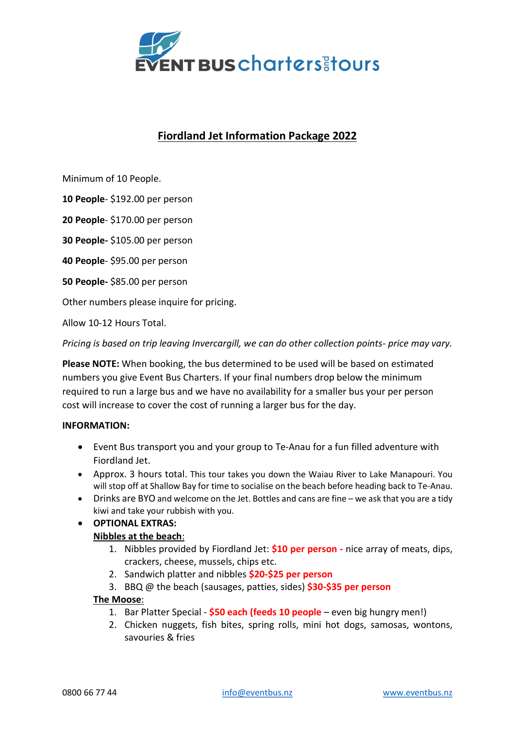

## Fiordland Jet Information Package 2022

Minimum of 10 People.

10 People- \$192.00 per person

20 People- \$170.00 per person

30 People- \$105.00 per person

40 People- \$95.00 per person

50 People- \$85.00 per person

Other numbers please inquire for pricing.

Allow 10-12 Hours Total.

Pricing is based on trip leaving Invercargill, we can do other collection points- price may vary.

Please NOTE: When booking, the bus determined to be used will be based on estimated numbers you give Event Bus Charters. If your final numbers drop below the minimum required to run a large bus and we have no availability for a smaller bus your per person cost will increase to cover the cost of running a larger bus for the day.

### INFORMATION:

- Event Bus transport you and your group to Te-Anau for a fun filled adventure with Fiordland Jet.
- Approx. 3 hours total. This tour takes you down the Waiau River to Lake Manapouri. You will stop off at Shallow Bay for time to socialise on the beach before heading back to Te-Anau.
- Drinks are BYO and welcome on the Jet. Bottles and cans are fine we ask that you are a tidy kiwi and take your rubbish with you.

# OPTIONAL EXTRAS:

### Nibbles at the beach:

- 1. Nibbles provided by Fiordland Jet:  $$10$  per person nice array of meats, dips, crackers, cheese, mussels, chips etc.
- 2. Sandwich platter and nibbles \$20-\$25 per person
- 3. BBQ  $\omega$  the beach (sausages, patties, sides)  $$30-$35$  per person

### The Moose:

- 1. Bar Platter Special \$50 each (feeds 10 people even big hungry men!)
- 2. Chicken nuggets, fish bites, spring rolls, mini hot dogs, samosas, wontons, savouries & fries